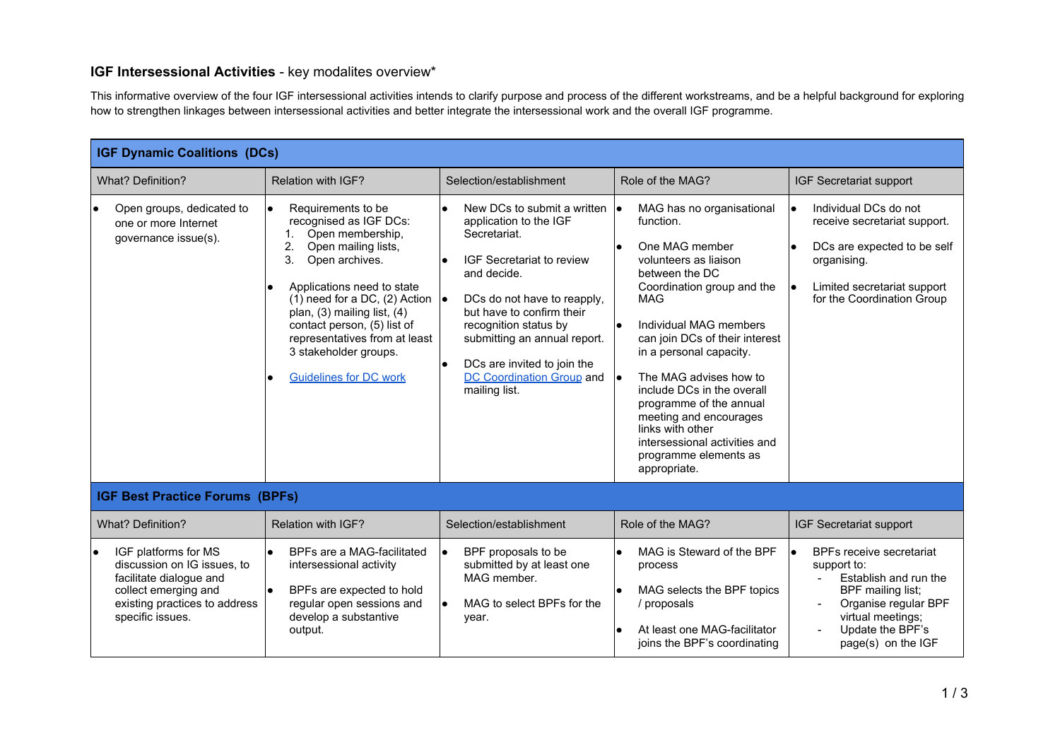## **IGF Intersessional Activities** - key modalites overview\*

This informative overview of the four IGF intersessional activities intends to clarify purpose and process of the different workstreams, and be a helpful background for exploring how to strengthen linkages between intersessional activities and better integrate the intersessional work and the overall IGF programme.

| <b>IGF Dynamic Coalitions (DCs)</b>                                                                                                                                      |                                                                                                                                                                                                                                                                                                                                                                |                                                                                                                                                                                                                                                                                                                                         |                                                                                                                                                                                                                                                                                                                                                                                                                                                              |                                                                                                                                                                                                             |  |  |  |
|--------------------------------------------------------------------------------------------------------------------------------------------------------------------------|----------------------------------------------------------------------------------------------------------------------------------------------------------------------------------------------------------------------------------------------------------------------------------------------------------------------------------------------------------------|-----------------------------------------------------------------------------------------------------------------------------------------------------------------------------------------------------------------------------------------------------------------------------------------------------------------------------------------|--------------------------------------------------------------------------------------------------------------------------------------------------------------------------------------------------------------------------------------------------------------------------------------------------------------------------------------------------------------------------------------------------------------------------------------------------------------|-------------------------------------------------------------------------------------------------------------------------------------------------------------------------------------------------------------|--|--|--|
| <b>What? Definition?</b>                                                                                                                                                 | Relation with IGF?                                                                                                                                                                                                                                                                                                                                             | Selection/establishment                                                                                                                                                                                                                                                                                                                 | Role of the MAG?                                                                                                                                                                                                                                                                                                                                                                                                                                             | IGF Secretariat support                                                                                                                                                                                     |  |  |  |
| Open groups, dedicated to<br>one or more Internet<br>governance issue(s).                                                                                                | Requirements to be<br>$\bullet$<br>recognised as IGF DCs:<br>Open membership,<br>2.<br>Open mailing lists,<br>3.<br>Open archives.<br>Applications need to state<br>$(1)$ need for a DC, $(2)$ Action<br>plan, (3) mailing list, (4)<br>contact person, (5) list of<br>representatives from at least<br>3 stakeholder groups.<br><b>Guidelines for DC work</b> | New DCs to submit a written<br>$\bullet$<br>application to the IGF<br>Secretariat.<br>IGF Secretariat to review<br>and decide.<br>DCs do not have to reapply,<br>-le<br>but have to confirm their<br>recognition status by<br>submitting an annual report.<br>DCs are invited to join the<br>DC Coordination Group and<br>mailing list. | MAG has no organisational<br>le.<br>function.<br>One MAG member<br>volunteers as liaison<br>between the DC<br>Coordination group and the<br>MAG<br>Individual MAG members<br>٠<br>can join DCs of their interest<br>in a personal capacity.<br>The MAG advises how to<br>١o<br>include DCs in the overall<br>programme of the annual<br>meeting and encourages<br>links with other<br>intersessional activities and<br>programme elements as<br>appropriate. | Individual DCs do not<br>$\bullet$<br>receive secretariat support.<br>DCs are expected to be self<br>$\bullet$<br>organising.<br>Limited secretariat support<br>$\bullet$<br>for the Coordination Group     |  |  |  |
| <b>IGF Best Practice Forums (BPFs)</b>                                                                                                                                   |                                                                                                                                                                                                                                                                                                                                                                |                                                                                                                                                                                                                                                                                                                                         |                                                                                                                                                                                                                                                                                                                                                                                                                                                              |                                                                                                                                                                                                             |  |  |  |
| <b>What? Definition?</b>                                                                                                                                                 | Relation with IGF?                                                                                                                                                                                                                                                                                                                                             | Selection/establishment                                                                                                                                                                                                                                                                                                                 | Role of the MAG?                                                                                                                                                                                                                                                                                                                                                                                                                                             | IGF Secretariat support                                                                                                                                                                                     |  |  |  |
| IGF platforms for MS<br>$\bullet$<br>discussion on IG issues, to<br>facilitate dialogue and<br>collect emerging and<br>existing practices to address<br>specific issues. | BPFs are a MAG-facilitated<br>intersessional activity<br>BPFs are expected to hold<br>regular open sessions and<br>develop a substantive<br>output.                                                                                                                                                                                                            | BPF proposals to be<br>$\bullet$<br>submitted by at least one<br>MAG member.<br>MAG to select BPFs for the<br><b>le</b><br>year.                                                                                                                                                                                                        | MAG is Steward of the BPF<br>process<br>MAG selects the BPF topics<br>/ proposals<br>At least one MAG-facilitator<br>joins the BPF's coordinating                                                                                                                                                                                                                                                                                                            | BPFs receive secretariat<br>$\bullet$<br>support to:<br>Establish and run the<br>$\blacksquare$<br>BPF mailing list;<br>Organise regular BPF<br>virtual meetings;<br>Update the BPF's<br>page(s) on the IGF |  |  |  |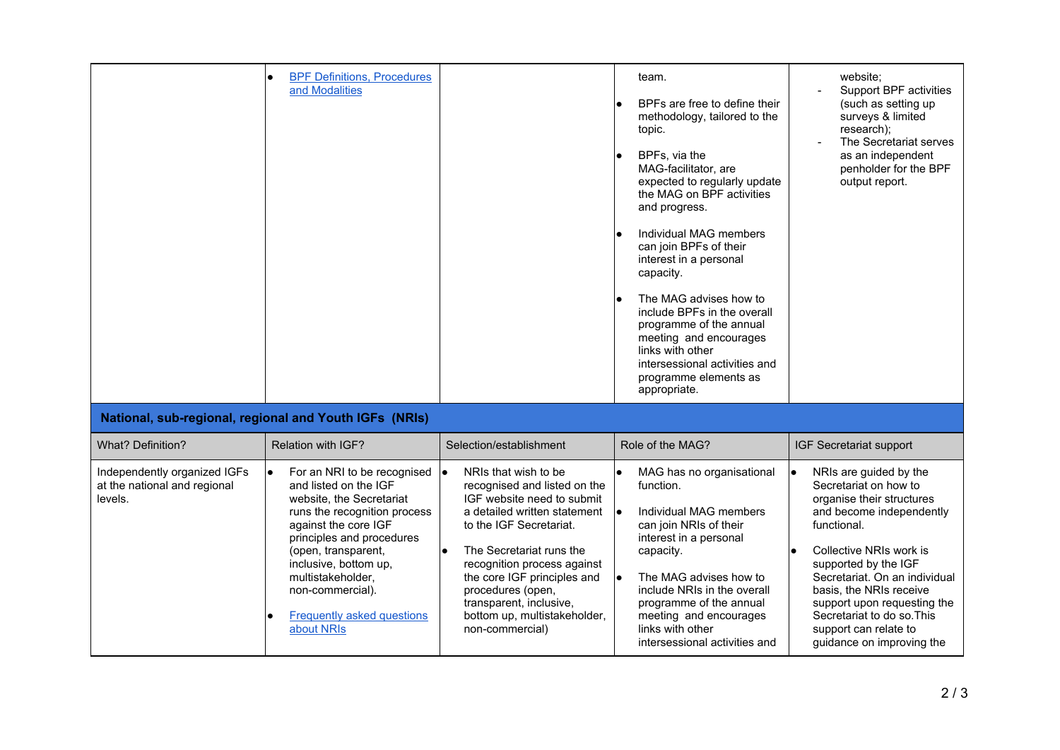|                                                                         | <b>BPF Definitions, Procedures</b><br>and Modalities                                                                                                                                                                                                                                                                        |                                                                                                                                                                                                                                                                                                                                                         | team.<br>BPFs are free to define their<br>methodology, tailored to the<br>topic.<br>BPFs, via the<br>MAG-facilitator, are<br>expected to regularly update<br>the MAG on BPF activities<br>and progress.<br>Individual MAG members<br>can join BPFs of their<br>interest in a personal<br>capacity.<br>The MAG advises how to<br>include BPFs in the overall<br>programme of the annual<br>meeting and encourages<br>links with other<br>intersessional activities and<br>programme elements as<br>appropriate. | website;<br>Support BPF activities<br>(such as setting up<br>surveys & limited<br>research);<br>The Secretariat serves<br>as an independent<br>penholder for the BPF<br>output report.                                                                                                                                                                                              |  |  |  |
|-------------------------------------------------------------------------|-----------------------------------------------------------------------------------------------------------------------------------------------------------------------------------------------------------------------------------------------------------------------------------------------------------------------------|---------------------------------------------------------------------------------------------------------------------------------------------------------------------------------------------------------------------------------------------------------------------------------------------------------------------------------------------------------|----------------------------------------------------------------------------------------------------------------------------------------------------------------------------------------------------------------------------------------------------------------------------------------------------------------------------------------------------------------------------------------------------------------------------------------------------------------------------------------------------------------|-------------------------------------------------------------------------------------------------------------------------------------------------------------------------------------------------------------------------------------------------------------------------------------------------------------------------------------------------------------------------------------|--|--|--|
| National, sub-regional, regional and Youth IGFs (NRIs)                  |                                                                                                                                                                                                                                                                                                                             |                                                                                                                                                                                                                                                                                                                                                         |                                                                                                                                                                                                                                                                                                                                                                                                                                                                                                                |                                                                                                                                                                                                                                                                                                                                                                                     |  |  |  |
| What? Definition?                                                       | Relation with IGF?                                                                                                                                                                                                                                                                                                          | Selection/establishment                                                                                                                                                                                                                                                                                                                                 | Role of the MAG?                                                                                                                                                                                                                                                                                                                                                                                                                                                                                               | <b>IGF Secretariat support</b>                                                                                                                                                                                                                                                                                                                                                      |  |  |  |
| Independently organized IGFs<br>at the national and regional<br>levels. | For an NRI to be recognised $\bullet$<br>and listed on the IGF<br>website, the Secretariat<br>runs the recognition process<br>against the core IGF<br>principles and procedures<br>(open, transparent,<br>inclusive, bottom up,<br>multistakeholder,<br>non-commercial).<br><b>Frequently asked questions</b><br>about NRIs | NRIs that wish to be<br>recognised and listed on the<br>IGF website need to submit<br>a detailed written statement<br>to the IGF Secretariat.<br>$\bullet$<br>The Secretariat runs the<br>recognition process against<br>the core IGF principles and<br>procedures (open,<br>transparent, inclusive,<br>bottom up, multistakeholder,<br>non-commercial) | MAG has no organisational<br>function.<br>Individual MAG members<br>I۰<br>can join NRIs of their<br>interest in a personal<br>capacity.<br>The MAG advises how to<br>I۰<br>include NRIs in the overall<br>programme of the annual<br>meeting and encourages<br>links with other<br>intersessional activities and                                                                                                                                                                                               | NRIs are guided by the<br>$\bullet$<br>Secretariat on how to<br>organise their structures<br>and become independently<br>functional.<br>Collective NRIs work is<br>$\bullet$<br>supported by the IGF<br>Secretariat. On an individual<br>basis, the NRIs receive<br>support upon requesting the<br>Secretariat to do so. This<br>support can relate to<br>guidance on improving the |  |  |  |